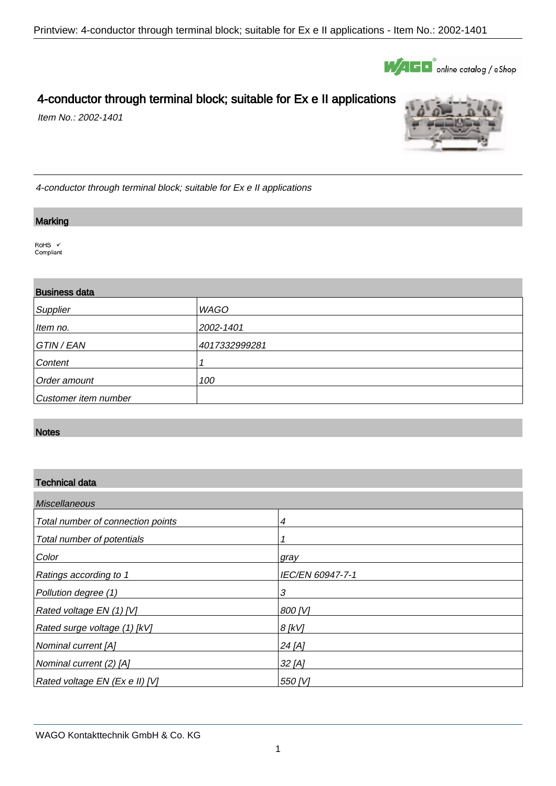

# 4-conductor through terminal block; suitable for Ex e II applications

Item No.: 2002-1401



4-conductor through terminal block; suitable for Ex e II applications

#### **Marking**

.

.

RoHS V Compliant

## Business data

| Supplier             | <b>WAGO</b>   |
|----------------------|---------------|
| Item no.             | 2002-1401     |
| GTIN / EAN           | 4017332999281 |
| Content              |               |
| Order amount         | 100           |
| Customer item number |               |

#### **Notes**

.

## Technical data

| <b>Miscellaneous</b>              |                  |  |
|-----------------------------------|------------------|--|
| Total number of connection points | 4                |  |
| Total number of potentials        |                  |  |
| Color                             | gray             |  |
| Ratings according to 1            | IEC/EN 60947-7-1 |  |
| Pollution degree (1)              | 3                |  |
| Rated voltage EN (1) [V]          | 800 [V]          |  |
| Rated surge voltage (1) [kV]      | $8$ [kV]         |  |
| Nominal current [A]               | 24 [A]           |  |
| Nominal current (2) [A]           | $32$ [A]         |  |
| Rated voltage EN (Ex e II) [V]    | 550 [V]          |  |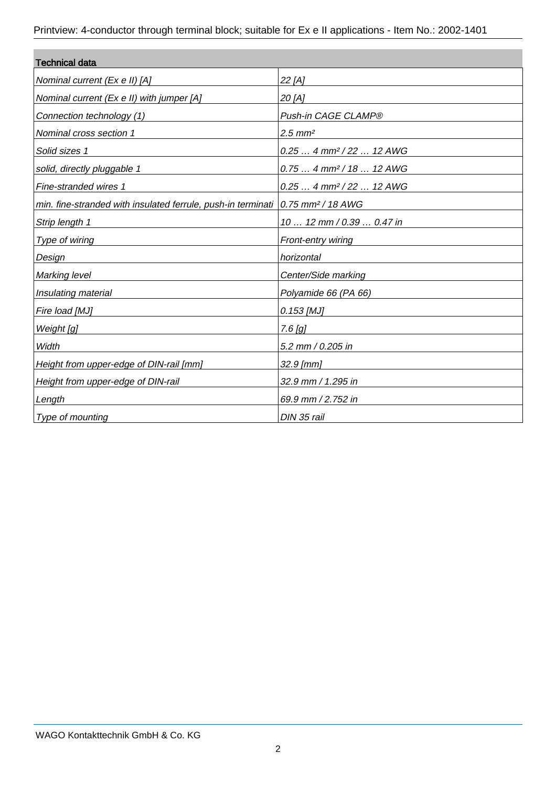| <b>Technical data</b>                                                                     |                                       |  |
|-------------------------------------------------------------------------------------------|---------------------------------------|--|
| Nominal current (Ex e II) [A]                                                             | 22 [A]                                |  |
| Nominal current (Ex e II) with jumper [A]                                                 | 20 [A]                                |  |
| Connection technology (1)                                                                 | Push-in CAGE CLAMP®                   |  |
| Nominal cross section 1                                                                   | $2.5$ mm <sup>2</sup>                 |  |
| Solid sizes 1                                                                             | $0.25$ 4 mm <sup>2</sup> / 22  12 AWG |  |
| solid, directly pluggable 1                                                               | $0.75$ 4 mm <sup>2</sup> / 18  12 AWG |  |
| Fine-stranded wires 1                                                                     | $0.25$ 4 mm <sup>2</sup> / 22  12 AWG |  |
| min. fine-stranded with insulated ferrule, push-in terminati 0.75 mm <sup>2</sup> /18 AWG |                                       |  |
| Strip length 1                                                                            | 10  12 mm / 0.39  0.47 in             |  |
| Type of wiring                                                                            | Front-entry wiring                    |  |
| Design                                                                                    | horizontal                            |  |
| Marking level                                                                             | Center/Side marking                   |  |
| Insulating material                                                                       | Polyamide 66 (PA 66)                  |  |
| Fire load [MJ]                                                                            | 0.153 [MJ]                            |  |
| Weight [g]                                                                                | $7.6$ [g]                             |  |
| Width                                                                                     | 5.2 mm / 0.205 in                     |  |
| Height from upper-edge of DIN-rail [mm]                                                   | 32.9 [mm]                             |  |
| Height from upper-edge of DIN-rail                                                        | 32.9 mm / 1.295 in                    |  |
| Length                                                                                    | 69.9 mm / 2.752 in                    |  |
| Type of mounting                                                                          | DIN 35 rail                           |  |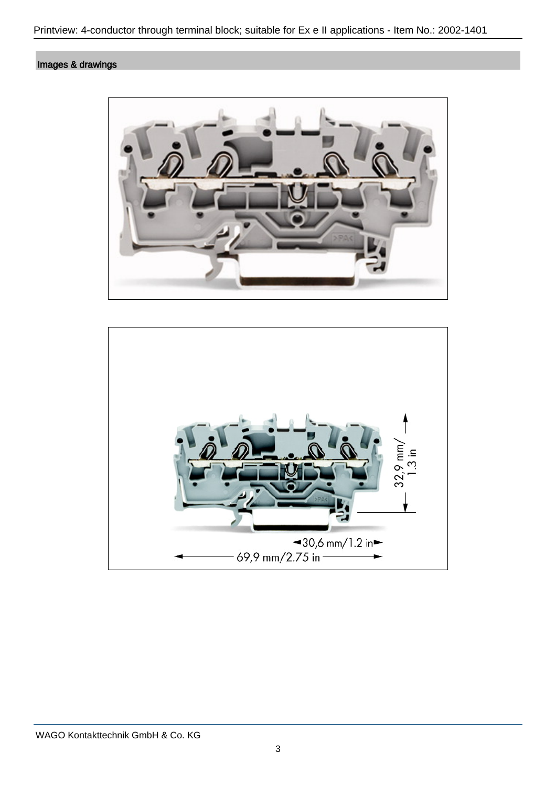## Images & drawings